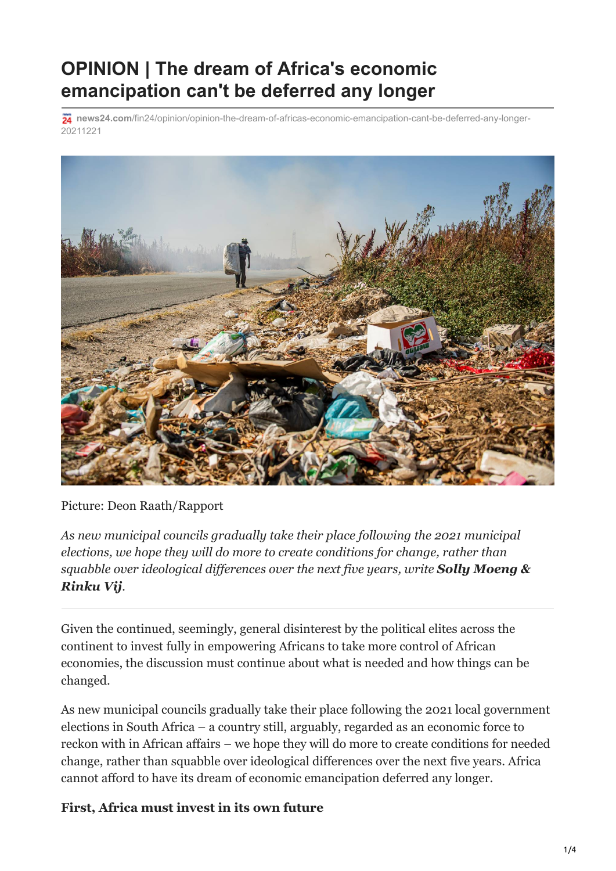# **OPINION | The dream of Africa's economic emancipation can't be deferred any longer**

**news24.com**[/fin24/opinion/opinion-the-dream-of-africas-economic-emancipation-cant-be-deferred-any-longer-](https://www.news24.com/fin24/opinion/opinion-the-dream-of-africas-economic-emancipation-cant-be-deferred-any-longer-20211221)20211221



Picture: Deon Raath/Rapport

*As new municipal councils gradually take their place following the 2021 municipal elections, we hope they will do more to create conditions for change, rather than squabble over ideological differences over the next five years, write Solly Moeng & Rinku Vij.*

Given the continued, seemingly, general disinterest by the political elites across the continent to invest fully in empowering Africans to take more control of African economies, the discussion must continue about what is needed and how things can be changed.

As new municipal councils gradually take their place following the 2021 local government elections in South Africa – a country still, arguably, regarded as an economic force to reckon with in African affairs – we hope they will do more to create conditions for needed change, rather than squabble over ideological differences over the next five years. Africa cannot afford to have its dream of economic emancipation deferred any longer.

### **First, Africa must invest in its own future**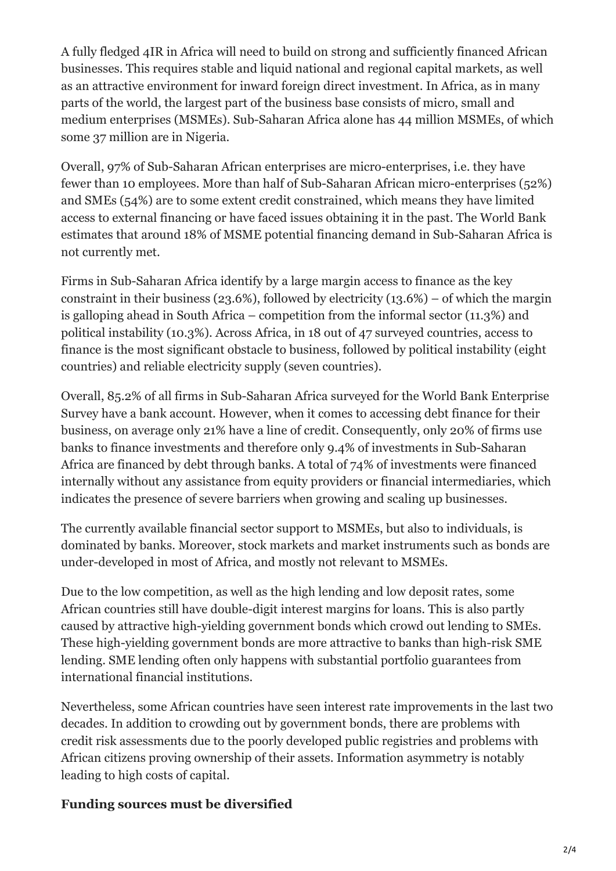A fully fledged 4IR in Africa will need to build on strong and sufficiently financed African businesses. This requires stable and liquid national and regional capital markets, as well as an attractive environment for inward foreign direct investment. In Africa, as in many parts of the world, the largest part of the business base consists of micro, small and medium enterprises (MSMEs). Sub-Saharan Africa alone has 44 million MSMEs, of which some 37 million are in Nigeria.

Overall, 97% of Sub-Saharan African enterprises are micro-enterprises, i.e. they have fewer than 10 employees. More than half of Sub-Saharan African micro-enterprises (52%) and SMEs (54%) are to some extent credit constrained, which means they have limited access to external financing or have faced issues obtaining it in the past. The World Bank estimates that around 18% of MSME potential financing demand in Sub-Saharan Africa is not currently met.

Firms in Sub-Saharan Africa identify by a large margin access to finance as the key constraint in their business (23.6%), followed by electricity (13.6%) – of which the margin is galloping ahead in South Africa – competition from the informal sector (11.3%) and political instability (10.3%). Across Africa, in 18 out of 47 surveyed countries, access to finance is the most significant obstacle to business, followed by political instability (eight countries) and reliable electricity supply (seven countries).

Overall, 85.2% of all firms in Sub-Saharan Africa surveyed for the World Bank Enterprise Survey have a bank account. However, when it comes to accessing debt finance for their business, on average only 21% have a line of credit. Consequently, only 20% of firms use banks to finance investments and therefore only 9.4% of investments in Sub-Saharan Africa are financed by debt through banks. A total of 74% of investments were financed internally without any assistance from equity providers or financial intermediaries, which indicates the presence of severe barriers when growing and scaling up businesses.

The currently available financial sector support to MSMEs, but also to individuals, is dominated by banks. Moreover, stock markets and market instruments such as bonds are under-developed in most of Africa, and mostly not relevant to MSMEs.

Due to the low competition, as well as the high lending and low deposit rates, some African countries still have double-digit interest margins for loans. This is also partly caused by attractive high-yielding government bonds which crowd out lending to SMEs. These high-yielding government bonds are more attractive to banks than high-risk SME lending. SME lending often only happens with substantial portfolio guarantees from international financial institutions.

Nevertheless, some African countries have seen interest rate improvements in the last two decades. In addition to crowding out by government bonds, there are problems with credit risk assessments due to the poorly developed public registries and problems with African citizens proving ownership of their assets. Information asymmetry is notably leading to high costs of capital.

### **Funding sources must be diversified**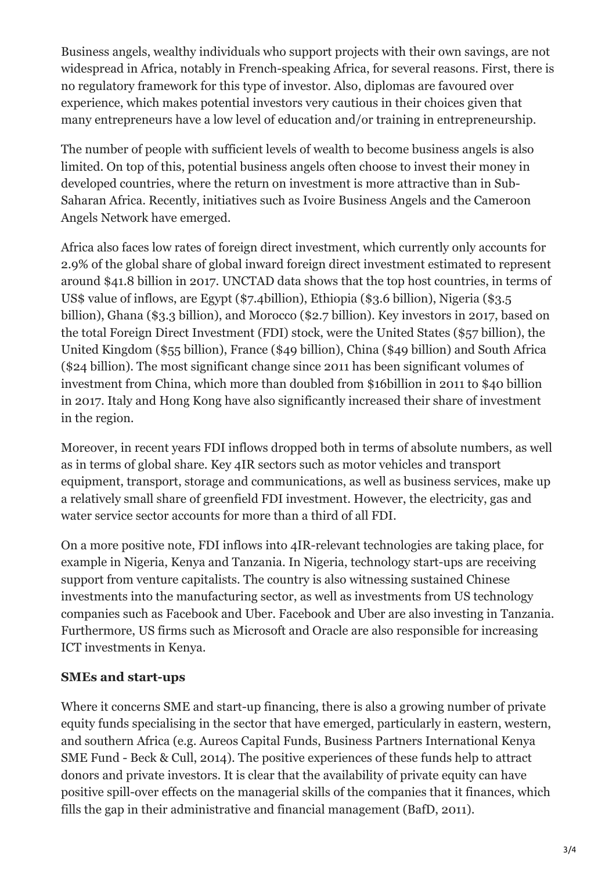Business angels, wealthy individuals who support projects with their own savings, are not widespread in Africa, notably in French-speaking Africa, for several reasons. First, there is no regulatory framework for this type of investor. Also, diplomas are favoured over experience, which makes potential investors very cautious in their choices given that many entrepreneurs have a low level of education and/or training in entrepreneurship.

The number of people with sufficient levels of wealth to become business angels is also limited. On top of this, potential business angels often choose to invest their money in developed countries, where the return on investment is more attractive than in Sub-Saharan Africa. Recently, initiatives such as Ivoire Business Angels and the Cameroon Angels Network have emerged.

Africa also faces low rates of foreign direct investment, which currently only accounts for 2.9% of the global share of global inward foreign direct investment estimated to represent around \$41.8 billion in 2017. UNCTAD data shows that the top host countries, in terms of US\$ value of inflows, are Egypt (\$7.4billion), Ethiopia (\$3.6 billion), Nigeria (\$3.5 billion), Ghana (\$3.3 billion), and Morocco (\$2.7 billion). Key investors in 2017, based on the total Foreign Direct Investment (FDI) stock, were the United States (\$57 billion), the United Kingdom (\$55 billion), France (\$49 billion), China (\$49 billion) and South Africa (\$24 billion). The most significant change since 2011 has been significant volumes of investment from China, which more than doubled from \$16billion in 2011 to \$40 billion in 2017. Italy and Hong Kong have also significantly increased their share of investment in the region.

Moreover, in recent years FDI inflows dropped both in terms of absolute numbers, as well as in terms of global share. Key 4IR sectors such as motor vehicles and transport equipment, transport, storage and communications, as well as business services, make up a relatively small share of greenfield FDI investment. However, the electricity, gas and water service sector accounts for more than a third of all FDI.

On a more positive note, FDI inflows into 4IR-relevant technologies are taking place, for example in Nigeria, Kenya and Tanzania. In Nigeria, technology start-ups are receiving support from venture capitalists. The country is also witnessing sustained Chinese investments into the manufacturing sector, as well as investments from US technology companies such as Facebook and Uber. Facebook and Uber are also investing in Tanzania. Furthermore, US firms such as Microsoft and Oracle are also responsible for increasing ICT investments in Kenya.

### **SMEs and start-ups**

Where it concerns SME and start-up financing, there is also a growing number of private equity funds specialising in the sector that have emerged, particularly in eastern, western, and southern Africa (e.g. Aureos Capital Funds, Business Partners International Kenya SME Fund - Beck & Cull, 2014). The positive experiences of these funds help to attract donors and private investors. It is clear that the availability of private equity can have positive spill-over effects on the managerial skills of the companies that it finances, which fills the gap in their administrative and financial management (BafD, 2011).